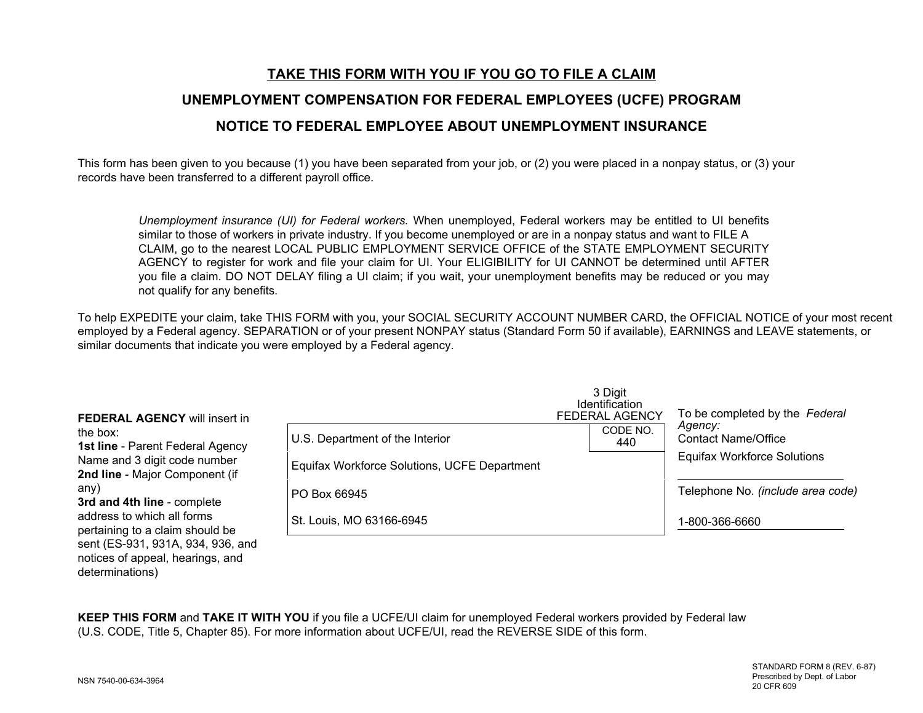# **TAKE THIS FORM WITH YOU IF YOU GO TO FILE A CLAIM UNEMPLOYMENT COMPENSATION FOR FEDERAL EMPLOYEES (UCFE) PROGRAM NOTICE TO FEDERAL EMPLOYEE ABOUT UNEMPLOYMENT INSURANCE**

This form has been given to you because (1) you have been separated from your job, or (2) you were placed in a nonpay status, or (3) your records have been transferred to a different payroll office.

*Unemployment insurance (UI) for Federal workers.* When unemployed, Federal workers may be entitled to UI benefits similar to those of workers in private industry. If you become unemployed or are in a nonpay status and want to FILE A CLAIM, go to the nearest LOCAL PUBLIC EMPLOYMENT SERVICE OFFICE of the STATE EMPLOYMENT SECURITY AGENCY to register for work and file your claim for UI. Your ELIGIBILITY for UI CANNOT be determined until AFTER you file a claim. DO NOT DELAY filing a UI claim; if you wait, your unemployment benefits may be reduced or you may not qualify for any benefits.

To help EXPEDITE your claim, take THIS FORM with you, your SOCIAL SECURITY ACCOUNT NUMBER CARD, the OFFICIAL NOTICE of your most recent employed by a Federal agency. SEPARATION or of your present NONPAY status (Standard Form 50 if available), EARNINGS and LEAVE statements, or similar documents that indicate you were employed by a Federal agency.

| <b>FEDERAL AGENCY will insert in</b><br>the box:<br><b>1st line</b> - Parent Federal Agency<br>Name and 3 digit code number<br>2nd line - Major Component (if |                                              | 3 Digit<br><b>Identification</b><br><b>FEDERAL AGENCY</b> | To be completed by the Federal<br>Agency:<br><b>Contact Name/Office</b><br><b>Equifax Workforce Solutions</b> |
|---------------------------------------------------------------------------------------------------------------------------------------------------------------|----------------------------------------------|-----------------------------------------------------------|---------------------------------------------------------------------------------------------------------------|
|                                                                                                                                                               | U.S. Department of the Interior              | CODE NO.<br>440                                           |                                                                                                               |
|                                                                                                                                                               | Equifax Workforce Solutions, UCFE Department |                                                           |                                                                                                               |
| any)<br>3rd and 4th line - complete                                                                                                                           | PO Box 66945                                 |                                                           | Telephone No. (include area code)                                                                             |
| address to which all forms<br>pertaining to a claim should be<br>sent (ES-931, 931A, 934, 936, and                                                            | St. Louis, MO 63166-6945                     |                                                           | 1-800-366-6660                                                                                                |

**KEEP THIS FORM** and **TAKE IT WITH YOU** if you file a UCFE/UI claim for unemployed Federal workers provided by Federal law (U.S. CODE, Title 5, Chapter 85). For more information about UCFE/UI, read the REVERSE SIDE of this form.

determinations)

notices of appeal, hearings, and